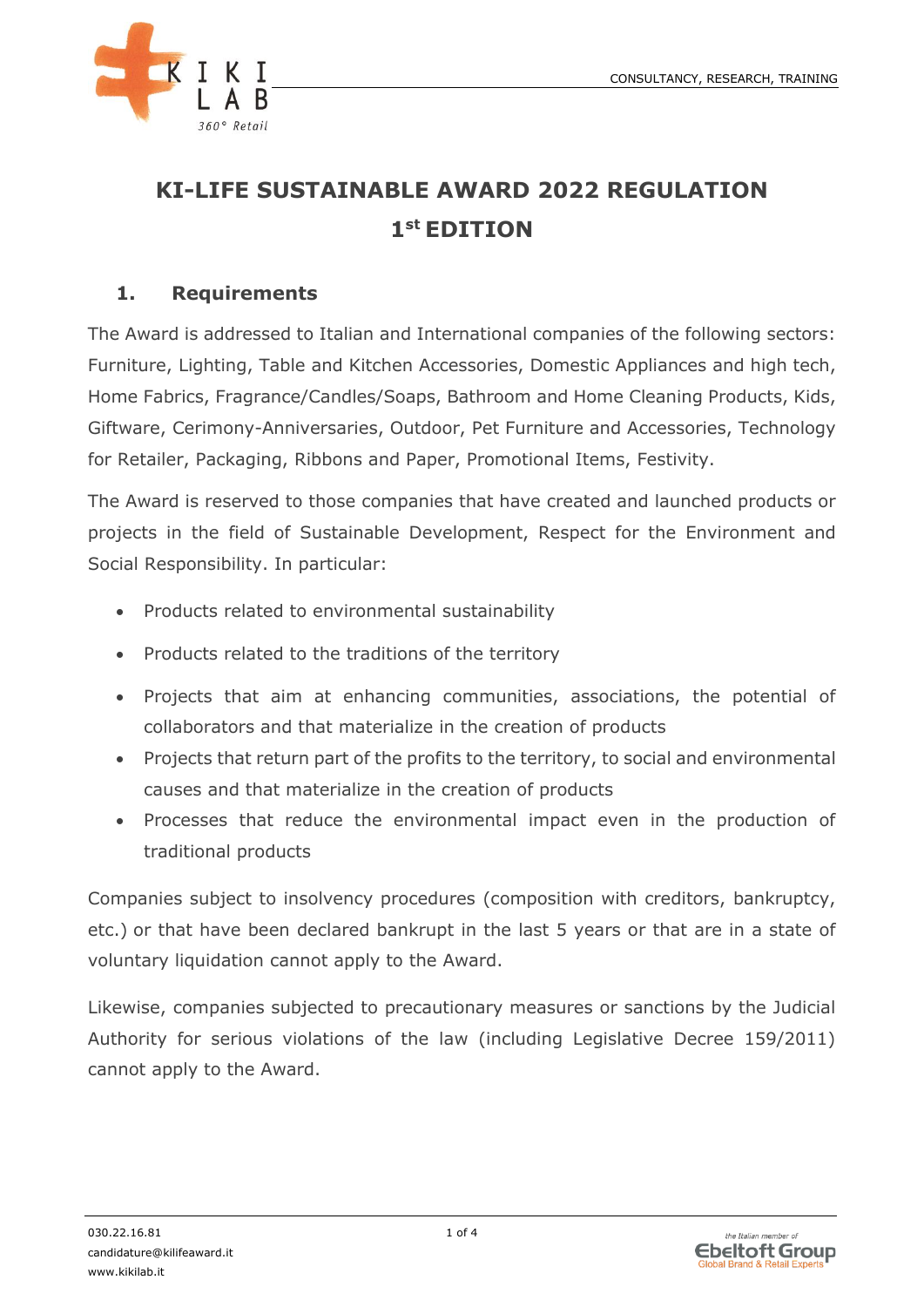

# **KI-LIFE SUSTAINABLE AWARD 2022 REGULATION 1 st EDITION**

#### **1. Requirements**

The Award is addressed to Italian and International companies of the following sectors: Furniture, Lighting, Table and Kitchen Accessories, Domestic Appliances and high tech, Home Fabrics, Fragrance/Candles/Soaps, Bathroom and Home Cleaning Products, Kids, Giftware, Cerimony-Anniversaries, Outdoor, Pet Furniture and Accessories, Technology for Retailer, Packaging, Ribbons and Paper, Promotional Items, Festivity.

The Award is reserved to those companies that have created and launched products or projects in the field of Sustainable Development, Respect for the Environment and Social Responsibility. In particular:

- Products related to environmental sustainability
- Products related to the traditions of the territory
- Projects that aim at enhancing communities, associations, the potential of collaborators and that materialize in the creation of products
- Projects that return part of the profits to the territory, to social and environmental causes and that materialize in the creation of products
- Processes that reduce the environmental impact even in the production of traditional products

Companies subject to insolvency procedures (composition with creditors, bankruptcy, etc.) or that have been declared bankrupt in the last 5 years or that are in a state of voluntary liquidation cannot apply to the Award.

Likewise, companies subjected to precautionary measures or sanctions by the Judicial Authority for serious violations of the law (including Legislative Decree 159/2011) cannot apply to the Award.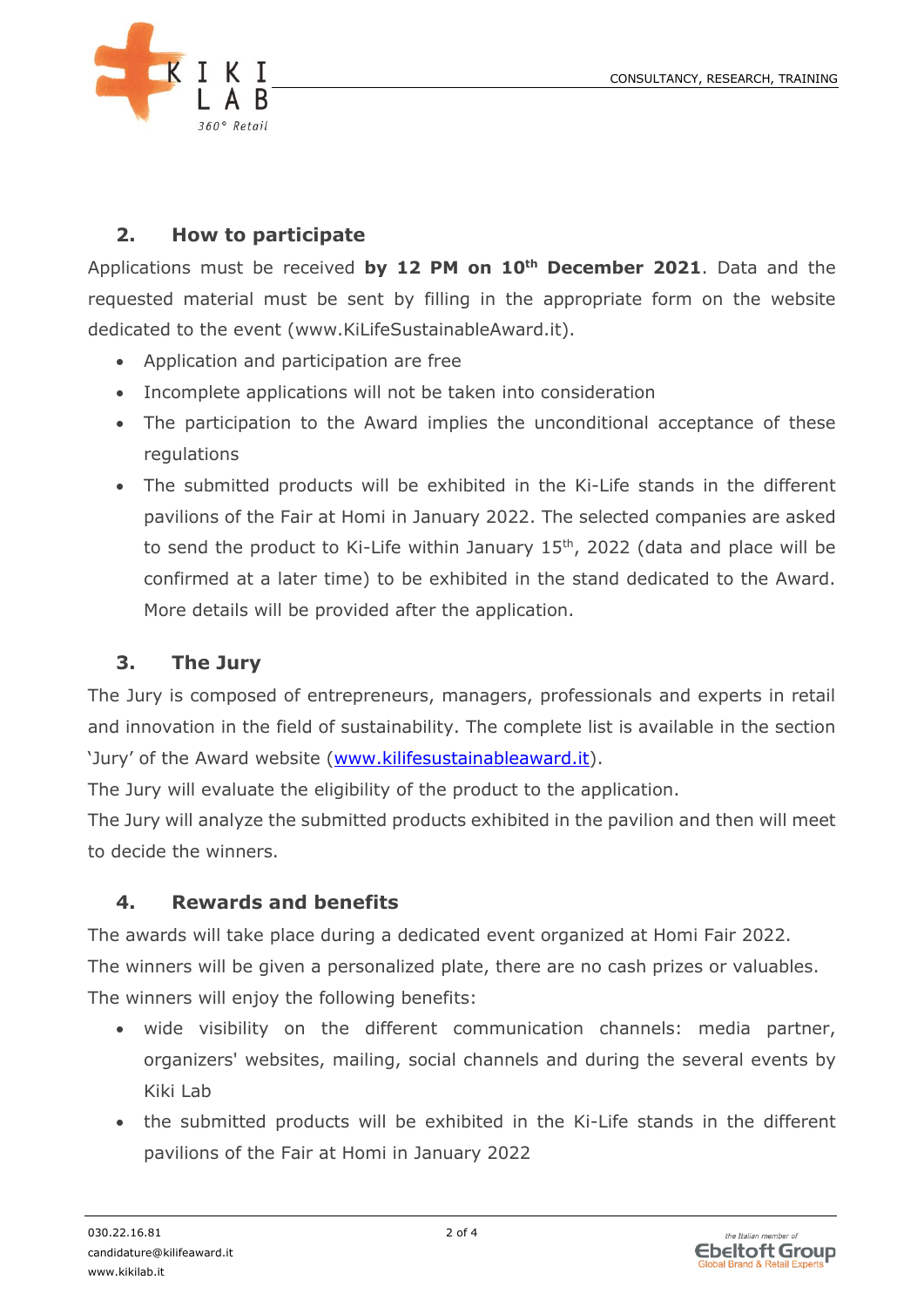

## **2. How to participate**

Applications must be received **by 12 PM on 10th December 2021**. Data and the requested material must be sent by filling in the appropriate form on the website dedicated to the event (www.KiLifeSustainableAward.it).

- Application and participation are free
- Incomplete applications will not be taken into consideration
- The participation to the Award implies the unconditional acceptance of these regulations
- The submitted products will be exhibited in the Ki-Life stands in the different pavilions of the Fair at Homi in January 2022. The selected companies are asked to send the product to Ki-Life within January  $15<sup>th</sup>$ , 2022 (data and place will be confirmed at a later time) to be exhibited in the stand dedicated to the Award. More details will be provided after the application.

### **3. The Jury**

The Jury is composed of entrepreneurs, managers, professionals and experts in retail and innovation in the field of sustainability. The complete list is available in the section 'Jury' of the Award website [\(www.kilifesustainableaward.it\)](http://www.kilifesustainableaward.it/).

The Jury will evaluate the eligibility of the product to the application.

The Jury will analyze the submitted products exhibited in the pavilion and then will meet to decide the winners.

#### **4. Rewards and benefits**

The awards will take place during a dedicated event organized at Homi Fair 2022. The winners will be given a personalized plate, there are no cash prizes or valuables. The winners will enjoy the following benefits:

- wide visibility on the different communication channels: media partner, organizers' websites, mailing, social channels and during the several events by Kiki Lab
- the submitted products will be exhibited in the Ki-Life stands in the different pavilions of the Fair at Homi in January 2022

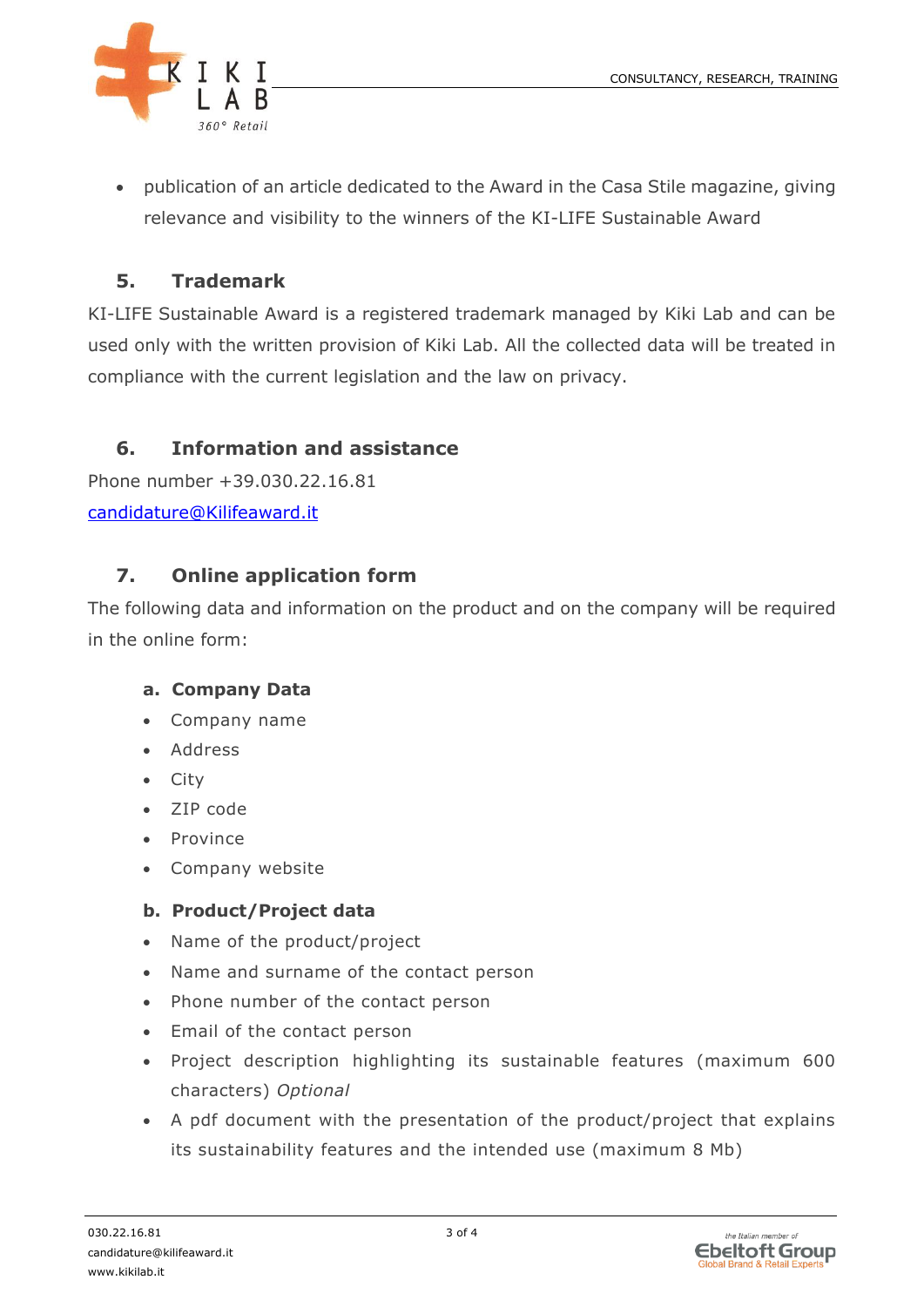

• publication of an article dedicated to the Award in the Casa Stile magazine, giving relevance and visibility to the winners of the KI-LIFE Sustainable Award

# **5. Trademark**

KI-LIFE Sustainable Award is a registered trademark managed by Kiki Lab and can be used only with the written provision of Kiki Lab. All the collected data will be treated in compliance with the current legislation and the law on privacy.

# **6. Information and assistance**

Phone number +39.030.22.16.81 [candidature@Kilifeaward.it](mailto:candidature@Kilifeaward.it)

# **7. Online application form**

The following data and information on the product and on the company will be required in the online form:

#### **a. Company Data**

- Company name
- Address
- City
- ZIP code
- Province
- Company website

#### **b. Product/Project data**

- Name of the product/project
- Name and surname of the contact person
- Phone number of the contact person
- Email of the contact person
- Project description highlighting its sustainable features (maximum 600 characters) *Optional*
- A pdf document with the presentation of the product/project that explains its sustainability features and the intended use (maximum 8 Mb)